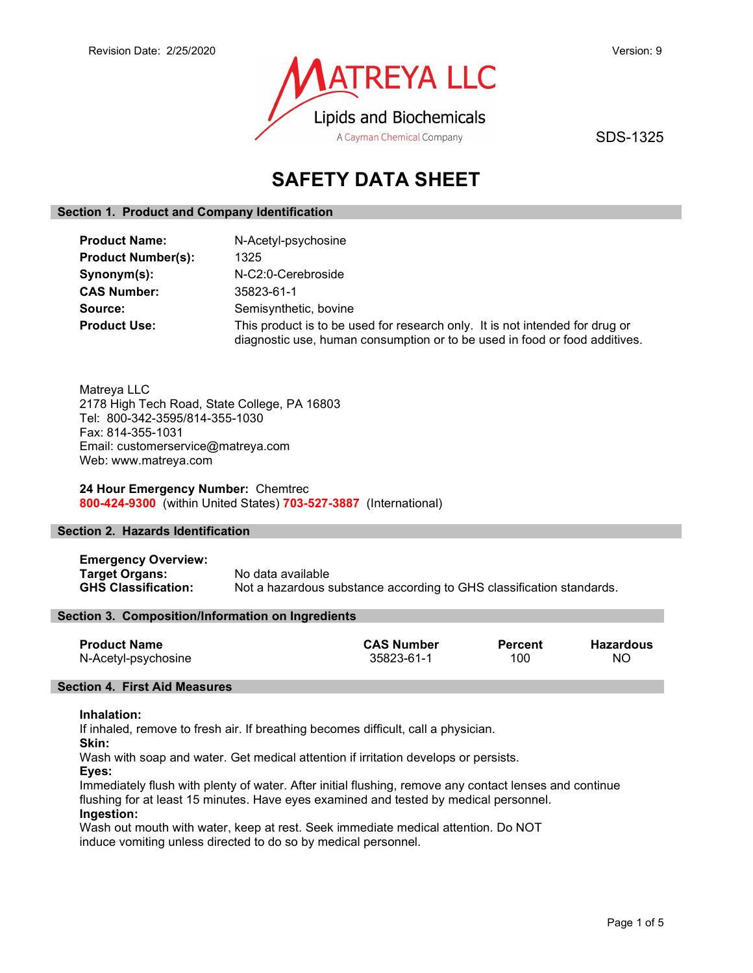

SDS-1325

# SAFETY DATA SHEET

## Section 1. Product and Company Identification

| <b>Product Name:</b>      | N-Acetyl-psychosine                                                                                                                                        |
|---------------------------|------------------------------------------------------------------------------------------------------------------------------------------------------------|
| <b>Product Number(s):</b> | 1325                                                                                                                                                       |
| Synonym(s):               | N-C2:0-Cerebroside                                                                                                                                         |
| <b>CAS Number:</b>        | 35823-61-1                                                                                                                                                 |
| Source:                   | Semisynthetic, bovine                                                                                                                                      |
| <b>Product Use:</b>       | This product is to be used for research only. It is not intended for drug or<br>diagnostic use, human consumption or to be used in food or food additives. |

Matreya LLC 2178 High Tech Road, State College, PA 16803 Tel: 800-342-3595/814-355-1030 Fax: 814-355-1031 Email: customerservice@matreya.com Web: www.matreya.com

## 24 Hour Emergency Number: Chemtrec 800-424-9300 (within United States) 703-527-3887 (International)

## Section 2. Hazards Identification

Emergency Overview: Target Organs: No data available GHS Classification: Not a hazardous substance according to GHS classification standards.

## Section 3. Composition/Information on Ingredients

| <b>Product Name</b> | <b>CAS Number</b> | <b>Percent</b> | Hazardous |
|---------------------|-------------------|----------------|-----------|
| N-Acetyl-psychosine | 35823-61-1        | 100            | <b>NO</b> |

## Section 4. First Aid Measures

#### Inhalation:

If inhaled, remove to fresh air. If breathing becomes difficult, call a physician.

Skin:

Wash with soap and water. Get medical attention if irritation develops or persists.

Eyes:

Immediately flush with plenty of water. After initial flushing, remove any contact lenses and continue flushing for at least 15 minutes. Have eyes examined and tested by medical personnel. Ingestion:

Wash out mouth with water, keep at rest. Seek immediate medical attention. Do NOT induce vomiting unless directed to do so by medical personnel.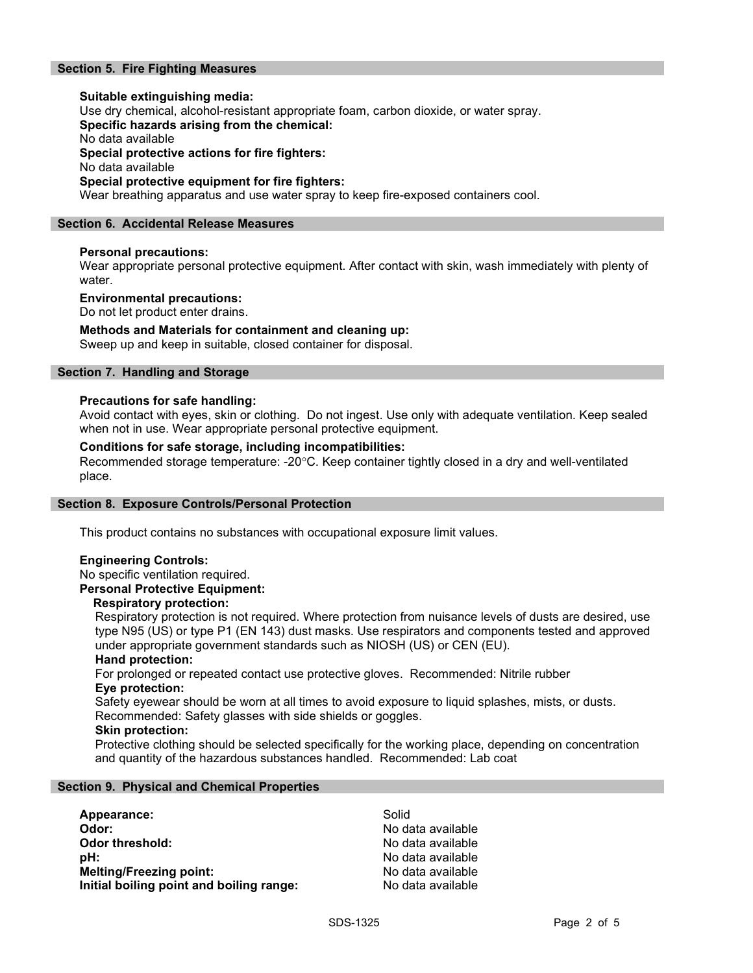## Section 5. Fire Fighting Measures

Suitable extinguishing media: Use dry chemical, alcohol-resistant appropriate foam, carbon dioxide, or water spray. Specific hazards arising from the chemical: No data available Special protective actions for fire fighters: No data available Special protective equipment for fire fighters: Wear breathing apparatus and use water spray to keep fire-exposed containers cool.

#### Section 6. Accidental Release Measures

#### Personal precautions:

Wear appropriate personal protective equipment. After contact with skin, wash immediately with plenty of water.

#### Environmental precautions:

Do not let product enter drains.

#### Methods and Materials for containment and cleaning up:

Sweep up and keep in suitable, closed container for disposal.

## Section 7. Handling and Storage

#### Precautions for safe handling:

Avoid contact with eyes, skin or clothing. Do not ingest. Use only with adequate ventilation. Keep sealed when not in use. Wear appropriate personal protective equipment.

#### Conditions for safe storage, including incompatibilities:

Recommended storage temperature: -20°C. Keep container tightly closed in a dry and well-ventilated place.

#### Section 8. Exposure Controls/Personal Protection

This product contains no substances with occupational exposure limit values.

## Engineering Controls:

No specific ventilation required.

## Personal Protective Equipment:

#### Respiratory protection:

Respiratory protection is not required. Where protection from nuisance levels of dusts are desired, use type N95 (US) or type P1 (EN 143) dust masks. Use respirators and components tested and approved under appropriate government standards such as NIOSH (US) or CEN (EU).

#### Hand protection:

For prolonged or repeated contact use protective gloves. Recommended: Nitrile rubber Eye protection:

Safety eyewear should be worn at all times to avoid exposure to liquid splashes, mists, or dusts. Recommended: Safety glasses with side shields or goggles.

#### Skin protection:

Protective clothing should be selected specifically for the working place, depending on concentration and quantity of the hazardous substances handled. Recommended: Lab coat

#### Section 9. Physical and Chemical Properties

| Appearance:                              | Solid             |
|------------------------------------------|-------------------|
| Odor:                                    | No data available |
| Odor threshold:                          | No data available |
| pH:                                      | No data available |
| <b>Melting/Freezing point:</b>           | No data available |
| Initial boiling point and boiling range: | No data available |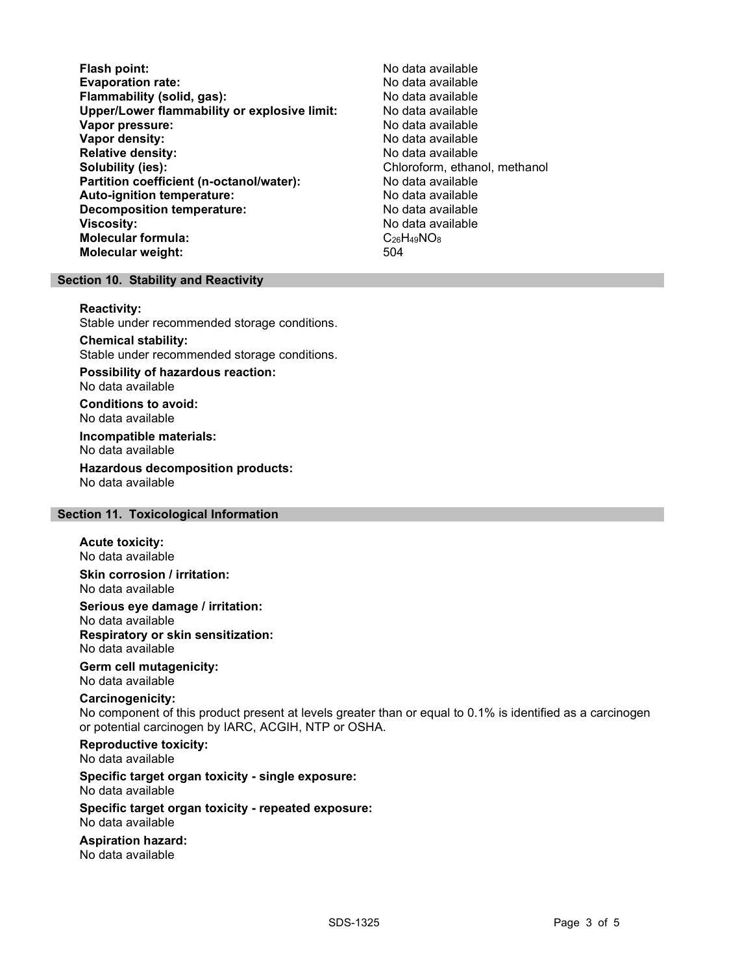Flash point:<br>
Evaporation rate: No data available<br>
No data available Evaporation rate:<br>
Flammability (solid. gas): No data available Flammability (solid, gas): Upper/Lower flammability or explosive limit: No data available Vapor pressure: No data available **Vapor density:** No data available in the set of the set of the No data available Relative density: No data available Solubility (ies): Solubility (ies): Chloroform, ethanol, methanol Partition coefficient (n-octanol/water): No data available Auto-ignition temperature: No data available Decomposition temperature: **Viscosity:** No data available and the set of the set of the set of the set of the set of the set of the set of the set of the set of the set of the set of the set of the set of the set of the set of the set of the set of Molecular formula:  $C_{26}H_{49}NO_8$ <br>Molecular weight:  $504$ Molecular weight:

## Section 10. Stability and Reactivity

#### Reactivity:

Stable under recommended storage conditions.

Chemical stability: Stable under recommended storage conditions.

Possibility of hazardous reaction: No data available

Conditions to avoid: No data available

Incompatible materials: No data available

Hazardous decomposition products: No data available

## Section 11. Toxicological Information

#### Acute toxicity:

No data available Skin corrosion / irritation:

No data available

Serious eye damage / irritation:

No data available Respiratory or skin sensitization: No data available

## Germ cell mutagenicity:

No data available

## Carcinogenicity:

No component of this product present at levels greater than or equal to 0.1% is identified as a carcinogen or potential carcinogen by IARC, ACGIH, NTP or OSHA.

Reproductive toxicity: No data available

Specific target organ toxicity - single exposure: No data available

#### Specific target organ toxicity - repeated exposure: No data available

Aspiration hazard: No data available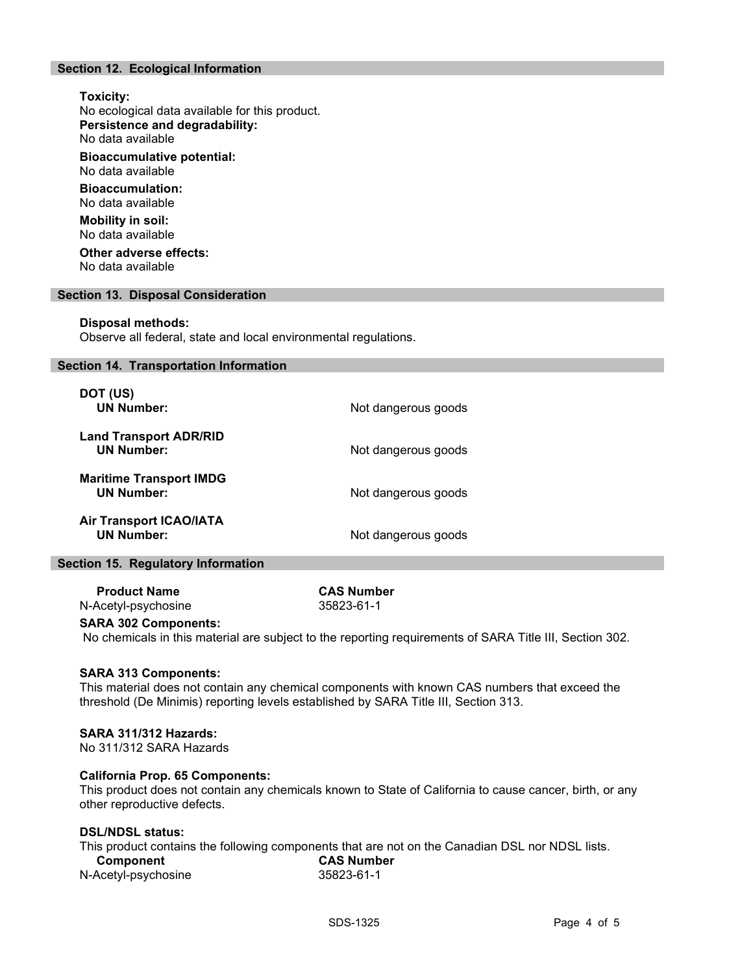## Section 12. Ecological Information

## Toxicity: No ecological data available for this product. Persistence and degradability: No data available Bioaccumulative potential: No data available Bioaccumulation: No data available Mobility in soil: No data available Other adverse effects:

No data available

#### Section 13. Disposal Consideration

#### Disposal methods:

Observe all federal, state and local environmental regulations.

#### Section 14. Transportation Information

| DOT (US)<br><b>UN Number:</b>                       | Not dangerous goods |
|-----------------------------------------------------|---------------------|
| <b>Land Transport ADR/RID</b><br><b>UN Number:</b>  | Not dangerous goods |
| <b>Maritime Transport IMDG</b><br><b>UN Number:</b> | Not dangerous goods |
| <b>Air Transport ICAO/IATA</b><br><b>UN Number:</b> | Not dangerous goods |

#### Section 15. Regulatory Information

Product Name CAS Number N-Acetyl-psychosine 35823-61-1

#### SARA 302 Components:

No chemicals in this material are subject to the reporting requirements of SARA Title III, Section 302.

#### SARA 313 Components:

This material does not contain any chemical components with known CAS numbers that exceed the threshold (De Minimis) reporting levels established by SARA Title III, Section 313.

#### SARA 311/312 Hazards:

No 311/312 SARA Hazards

#### California Prop. 65 Components:

This product does not contain any chemicals known to State of California to cause cancer, birth, or any other reproductive defects.

## DSL/NDSL status:

This product contains the following components that are not on the Canadian DSL nor NDSL lists.

| Component           | <b>CAS Number</b> |  |
|---------------------|-------------------|--|
| N-Acetyl-psychosine | 35823-61-1        |  |